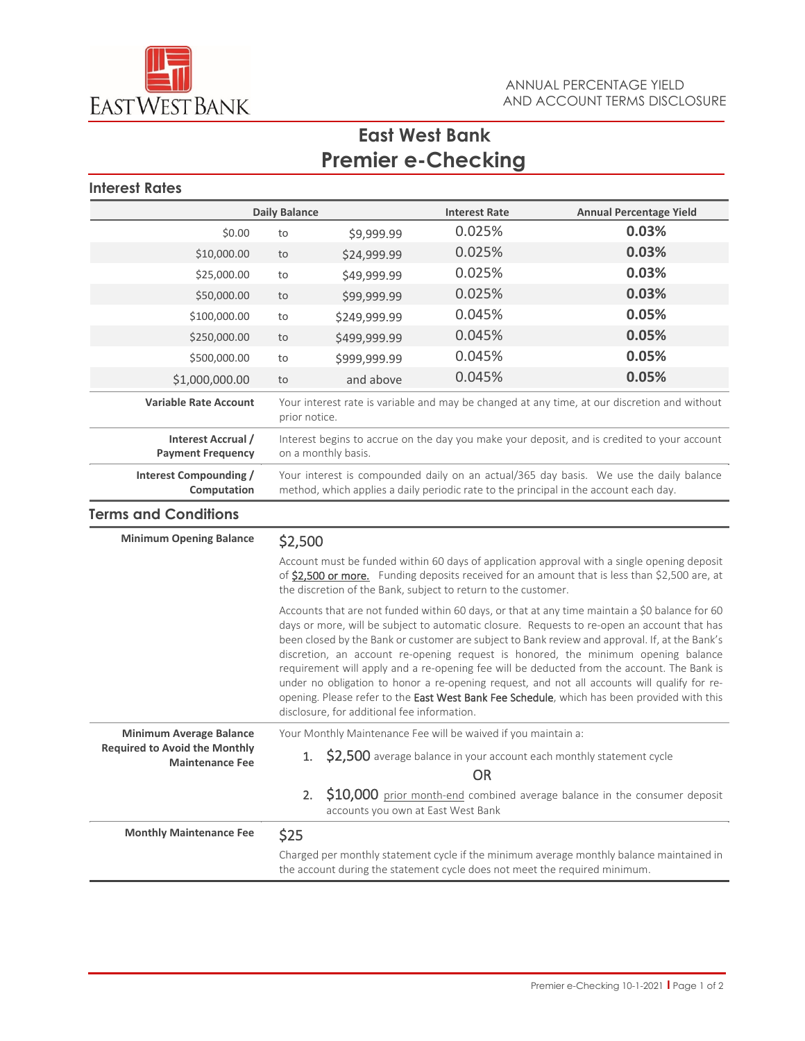

# **East West Bank Premier e-Checking**

## **Interest Rates**

| <b>Daily Balance</b>                                                                             |                                                                                                                                                                                                                                                                |                                             | <b>Interest Rate</b> | <b>Annual Percentage Yield</b>                                                                                                                                                                                                                                                                                                                                                                                                                                                                                                                                                                                                                                                    |
|--------------------------------------------------------------------------------------------------|----------------------------------------------------------------------------------------------------------------------------------------------------------------------------------------------------------------------------------------------------------------|---------------------------------------------|----------------------|-----------------------------------------------------------------------------------------------------------------------------------------------------------------------------------------------------------------------------------------------------------------------------------------------------------------------------------------------------------------------------------------------------------------------------------------------------------------------------------------------------------------------------------------------------------------------------------------------------------------------------------------------------------------------------------|
| \$0.00                                                                                           | to                                                                                                                                                                                                                                                             | \$9,999.99                                  | 0.025%               | 0.03%                                                                                                                                                                                                                                                                                                                                                                                                                                                                                                                                                                                                                                                                             |
| \$10,000.00                                                                                      | to                                                                                                                                                                                                                                                             | \$24,999.99                                 | 0.025%               | 0.03%                                                                                                                                                                                                                                                                                                                                                                                                                                                                                                                                                                                                                                                                             |
| \$25,000.00                                                                                      | to                                                                                                                                                                                                                                                             | \$49,999.99                                 | 0.025%               | 0.03%                                                                                                                                                                                                                                                                                                                                                                                                                                                                                                                                                                                                                                                                             |
| \$50,000.00                                                                                      | to                                                                                                                                                                                                                                                             | \$99,999.99                                 | 0.025%               | 0.03%                                                                                                                                                                                                                                                                                                                                                                                                                                                                                                                                                                                                                                                                             |
| \$100,000.00                                                                                     | to                                                                                                                                                                                                                                                             | \$249,999.99                                | 0.045%               | 0.05%                                                                                                                                                                                                                                                                                                                                                                                                                                                                                                                                                                                                                                                                             |
| \$250,000.00                                                                                     | to                                                                                                                                                                                                                                                             | \$499,999.99                                | 0.045%               | 0.05%                                                                                                                                                                                                                                                                                                                                                                                                                                                                                                                                                                                                                                                                             |
| \$500,000.00                                                                                     | to                                                                                                                                                                                                                                                             | \$999,999.99                                | 0.045%               | 0.05%                                                                                                                                                                                                                                                                                                                                                                                                                                                                                                                                                                                                                                                                             |
| \$1,000,000.00                                                                                   | to                                                                                                                                                                                                                                                             | and above                                   | 0.045%               | 0.05%                                                                                                                                                                                                                                                                                                                                                                                                                                                                                                                                                                                                                                                                             |
| <b>Variable Rate Account</b>                                                                     | Your interest rate is variable and may be changed at any time, at our discretion and without<br>prior notice.                                                                                                                                                  |                                             |                      |                                                                                                                                                                                                                                                                                                                                                                                                                                                                                                                                                                                                                                                                                   |
| Interest Accrual /<br><b>Payment Frequency</b>                                                   | Interest begins to accrue on the day you make your deposit, and is credited to your account<br>on a monthly basis.                                                                                                                                             |                                             |                      |                                                                                                                                                                                                                                                                                                                                                                                                                                                                                                                                                                                                                                                                                   |
| Interest Compounding /<br>Computation                                                            | Your interest is compounded daily on an actual/365 day basis. We use the daily balance<br>method, which applies a daily periodic rate to the principal in the account each day.                                                                                |                                             |                      |                                                                                                                                                                                                                                                                                                                                                                                                                                                                                                                                                                                                                                                                                   |
| <b>Terms and Conditions</b>                                                                      |                                                                                                                                                                                                                                                                |                                             |                      |                                                                                                                                                                                                                                                                                                                                                                                                                                                                                                                                                                                                                                                                                   |
| <b>Minimum Opening Balance</b>                                                                   | \$2,500                                                                                                                                                                                                                                                        |                                             |                      |                                                                                                                                                                                                                                                                                                                                                                                                                                                                                                                                                                                                                                                                                   |
|                                                                                                  | Account must be funded within 60 days of application approval with a single opening deposit<br>of \$2,500 or more. Funding deposits received for an amount that is less than \$2,500 are, at<br>the discretion of the Bank, subject to return to the customer. |                                             |                      |                                                                                                                                                                                                                                                                                                                                                                                                                                                                                                                                                                                                                                                                                   |
|                                                                                                  |                                                                                                                                                                                                                                                                | disclosure, for additional fee information. |                      | Accounts that are not funded within 60 days, or that at any time maintain a \$0 balance for 60<br>days or more, will be subject to automatic closure. Requests to re-open an account that has<br>been closed by the Bank or customer are subject to Bank review and approval. If, at the Bank's<br>discretion, an account re-opening request is honored, the minimum opening balance<br>requirement will apply and a re-opening fee will be deducted from the account. The Bank is<br>under no obligation to honor a re-opening request, and not all accounts will qualify for re-<br>opening. Please refer to the East West Bank Fee Schedule, which has been provided with this |
| <b>Minimum Average Balance</b><br><b>Required to Avoid the Monthly</b><br><b>Maintenance Fee</b> | Your Monthly Maintenance Fee will be waived if you maintain a:                                                                                                                                                                                                 |                                             |                      |                                                                                                                                                                                                                                                                                                                                                                                                                                                                                                                                                                                                                                                                                   |
|                                                                                                  | \$2,500 average balance in your account each monthly statement cycle<br>1.<br><b>OR</b>                                                                                                                                                                        |                                             |                      |                                                                                                                                                                                                                                                                                                                                                                                                                                                                                                                                                                                                                                                                                   |
|                                                                                                  |                                                                                                                                                                                                                                                                | 2.<br>accounts you own at East West Bank    |                      | \$10,000 prior month-end combined average balance in the consumer deposit                                                                                                                                                                                                                                                                                                                                                                                                                                                                                                                                                                                                         |
| <b>Monthly Maintenance Fee</b>                                                                   | \$25                                                                                                                                                                                                                                                           |                                             |                      |                                                                                                                                                                                                                                                                                                                                                                                                                                                                                                                                                                                                                                                                                   |
|                                                                                                  | Charged per monthly statement cycle if the minimum average monthly balance maintained in<br>the account during the statement cycle does not meet the required minimum.                                                                                         |                                             |                      |                                                                                                                                                                                                                                                                                                                                                                                                                                                                                                                                                                                                                                                                                   |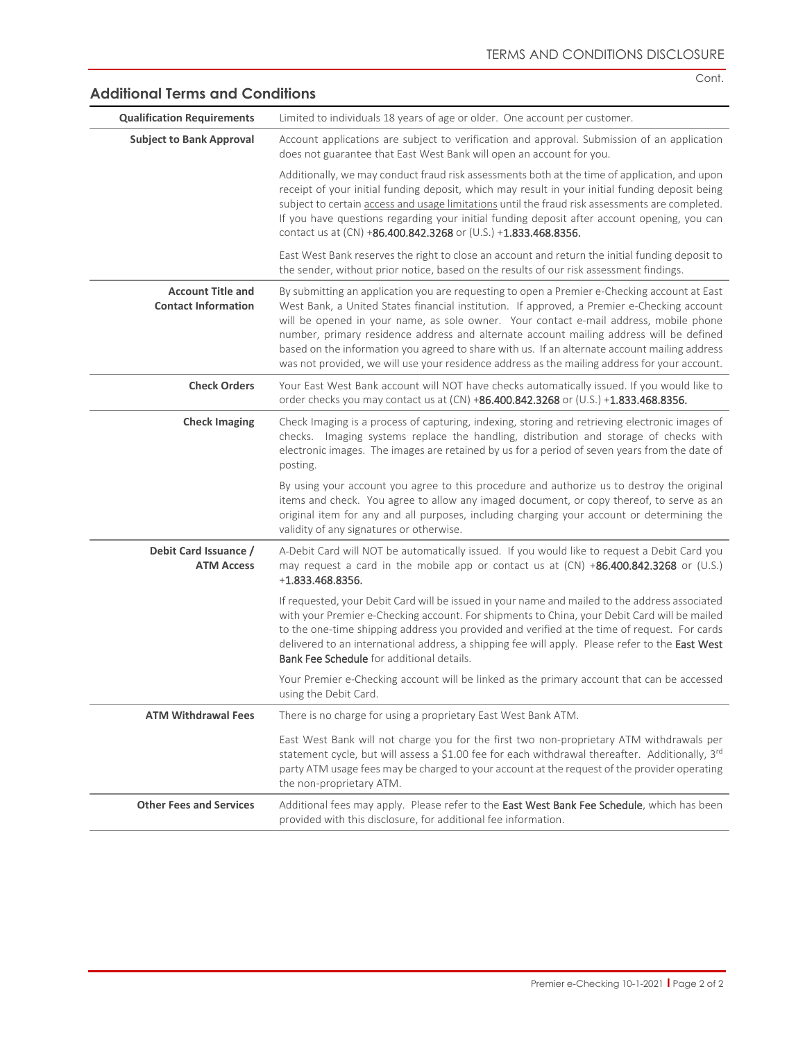Cont.

| <b>Qualification Requirements</b>                      | Limited to individuals 18 years of age or older. One account per customer.                                                                                                                                                                                                                                                                                                                                                                                                                                                                                                        |
|--------------------------------------------------------|-----------------------------------------------------------------------------------------------------------------------------------------------------------------------------------------------------------------------------------------------------------------------------------------------------------------------------------------------------------------------------------------------------------------------------------------------------------------------------------------------------------------------------------------------------------------------------------|
| <b>Subject to Bank Approval</b>                        | Account applications are subject to verification and approval. Submission of an application<br>does not guarantee that East West Bank will open an account for you.                                                                                                                                                                                                                                                                                                                                                                                                               |
|                                                        | Additionally, we may conduct fraud risk assessments both at the time of application, and upon<br>receipt of your initial funding deposit, which may result in your initial funding deposit being<br>subject to certain access and usage limitations until the fraud risk assessments are completed.<br>If you have questions regarding your initial funding deposit after account opening, you can<br>contact us at (CN) +86.400.842.3268 or (U.S.) +1.833.468.8356.                                                                                                              |
|                                                        | East West Bank reserves the right to close an account and return the initial funding deposit to<br>the sender, without prior notice, based on the results of our risk assessment findings.                                                                                                                                                                                                                                                                                                                                                                                        |
| <b>Account Title and</b><br><b>Contact Information</b> | By submitting an application you are requesting to open a Premier e-Checking account at East<br>West Bank, a United States financial institution. If approved, a Premier e-Checking account<br>will be opened in your name, as sole owner. Your contact e-mail address, mobile phone<br>number, primary residence address and alternate account mailing address will be defined<br>based on the information you agreed to share with us. If an alternate account mailing address<br>was not provided, we will use your residence address as the mailing address for your account. |
| <b>Check Orders</b>                                    | Your East West Bank account will NOT have checks automatically issued. If you would like to<br>order checks you may contact us at (CN) +86.400.842.3268 or (U.S.) +1.833.468.8356.                                                                                                                                                                                                                                                                                                                                                                                                |
| <b>Check Imaging</b>                                   | Check Imaging is a process of capturing, indexing, storing and retrieving electronic images of<br>checks. Imaging systems replace the handling, distribution and storage of checks with<br>electronic images. The images are retained by us for a period of seven years from the date of<br>posting.                                                                                                                                                                                                                                                                              |
|                                                        | By using your account you agree to this procedure and authorize us to destroy the original<br>items and check. You agree to allow any imaged document, or copy thereof, to serve as an<br>original item for any and all purposes, including charging your account or determining the<br>validity of any signatures or otherwise.                                                                                                                                                                                                                                                  |
| Debit Card Issuance /<br><b>ATM Access</b>             | A-Debit Card will NOT be automatically issued. If you would like to request a Debit Card you<br>may request a card in the mobile app or contact us at (CN) +86.400.842.3268 or (U.S.)<br>$+1.833.468.8356.$                                                                                                                                                                                                                                                                                                                                                                       |
|                                                        | If requested, your Debit Card will be issued in your name and mailed to the address associated<br>with your Premier e-Checking account. For shipments to China, your Debit Card will be mailed<br>to the one-time shipping address you provided and verified at the time of request. For cards<br>delivered to an international address, a shipping fee will apply. Please refer to the East West<br><b>Bank Fee Schedule</b> for additional details.                                                                                                                             |
|                                                        | Your Premier e-Checking account will be linked as the primary account that can be accessed<br>using the Debit Card.                                                                                                                                                                                                                                                                                                                                                                                                                                                               |
| <b>ATM Withdrawal Fees</b>                             | There is no charge for using a proprietary East West Bank ATM.                                                                                                                                                                                                                                                                                                                                                                                                                                                                                                                    |
|                                                        | East West Bank will not charge you for the first two non-proprietary ATM withdrawals per<br>statement cycle, but will assess a \$1.00 fee for each withdrawal thereafter. Additionally, 3rd<br>party ATM usage fees may be charged to your account at the request of the provider operating<br>the non-proprietary ATM.                                                                                                                                                                                                                                                           |
| <b>Other Fees and Services</b>                         | Additional fees may apply. Please refer to the East West Bank Fee Schedule, which has been<br>provided with this disclosure, for additional fee information.                                                                                                                                                                                                                                                                                                                                                                                                                      |

### **Additional Terms and Conditions**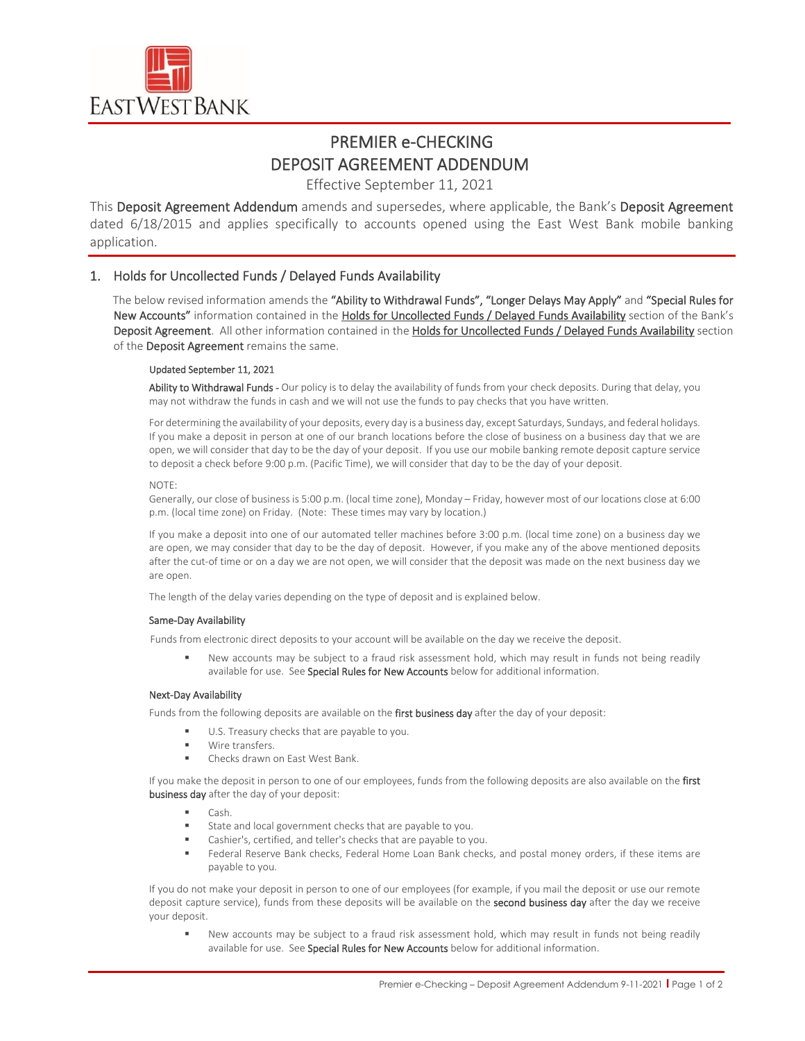

# PREMIER e-CHECKING DEPOSIT AGREEMENT ADDENDUM

Effective September 11, 2021

This Deposit Agreement Addendum amends and supersedes, where applicable, the Bank's Deposit Agreement dated 6/18/2015 and applies specifically to accounts opened using the East West Bank mobile banking application.

### 1. Holds for Uncollected Funds / Delayed Funds Availability

The below revised information amends the "Ability to Withdrawal Funds", "Longer Delays May Apply" and "Special Rules for New Accounts" information contained in the Holds for Uncollected Funds / Delayed Funds Availability section of the Bank's Deposit Agreement. All other information contained in the Holds for Uncollected Funds / Delayed Funds Availability section of the Deposit Agreement remains the same.

#### Updated September 11, 2021

Ability to Withdrawal Funds - Our policy is to delay the availability of funds from your check deposits. During that delay, you may not withdraw the funds in cash and we will not use the funds to pay checks that you have written.

For determining the availability of your deposits, every day is a business day, except Saturdays, Sundays, and federal holidays. If you make a deposit in person at one of our branch locations before the close of business on a business day that we are open, we will consider that day to be the day of your deposit. If you use our mobile banking remote deposit capture service to deposit a check before 9:00 p.m. (Pacific Time), we will consider that day to be the day of your deposit.

#### NOTE:

Generally, our close of business is 5:00 p.m. (local time zone), Monday – Friday, however most of our locations close at 6:00 p.m. (local time zone) on Friday. (Note: These times may vary by location.)

If you make a deposit into one of our automated teller machines before 3:00 p.m. (local time zone) on a business day we are open, we may consider that day to be the day of deposit. However, if you make any of the above mentioned deposits after the cut-of time or on a day we are not open, we will consider that the deposit was made on the next business day we are open.

The length of the delay varies depending on the type of deposit and is explained below.

#### Same-Day Availability

Funds from electronic direct deposits to your account will be available on the day we receive the deposit.

 New accounts may be subject to a fraud risk assessment hold, which may result in funds not being readily available for use. See Special Rules for New Accounts below for additional information.

#### Next-Day Availability

Funds from the following deposits are available on the first business day after the day of your deposit:

- U.S. Treasury checks that are payable to you.
- Wire transfers.
- Checks drawn on East West Bank.

If you make the deposit in person to one of our employees, funds from the following deposits are also available on the first business day after the day of your deposit:

- Cash.
- State and local government checks that are payable to you.
- Cashier's, certified, and teller's checks that are payable to you.
- Federal Reserve Bank checks, Federal Home Loan Bank checks, and postal money orders, if these items are payable to you.

If you do not make your deposit in person to one of our employees (for example, if you mail the deposit or use our remote deposit capture service), funds from these deposits will be available on the **second business day** after the day we receive your deposit.

 New accounts may be subject to a fraud risk assessment hold, which may result in funds not being readily available for use. See Special Rules for New Accounts below for additional information.